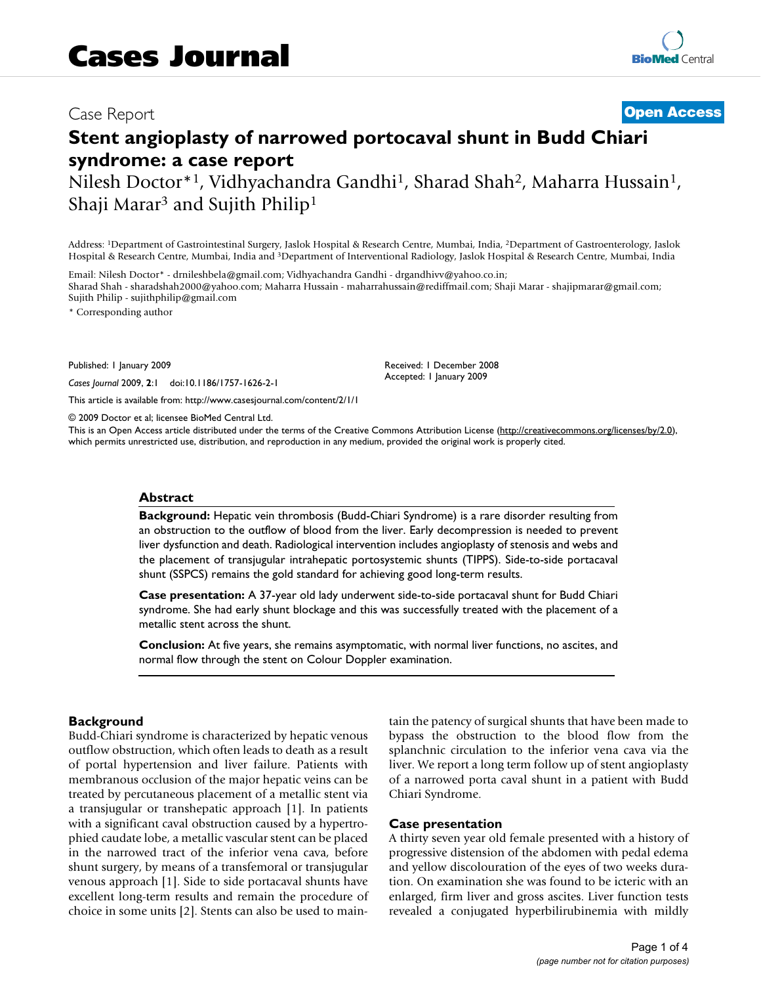# Case Report **[Open Access](http://www.biomedcentral.com/info/about/charter/)**

# **Stent angioplasty of narrowed portocaval shunt in Budd Chiari syndrome: a case report**

Nilesh Doctor<sup>\*1</sup>, Vidhyachandra Gandhi<sup>1</sup>, Sharad Shah<sup>2</sup>, Maharra Hussain<sup>1</sup>, Shaji Marar<sup>3</sup> and Sujith Philip<sup>1</sup>

Address: 1Department of Gastrointestinal Surgery, Jaslok Hospital & Research Centre, Mumbai, India, 2Department of Gastroenterology, Jaslok Hospital & Research Centre, Mumbai, India and 3Department of Interventional Radiology, Jaslok Hospital & Research Centre, Mumbai, India

Email: Nilesh Doctor\* - drnileshbela@gmail.com; Vidhyachandra Gandhi - drgandhivv@yahoo.co.in; Sharad Shah - sharadshah2000@yahoo.com; Maharra Hussain - maharrahussain@rediffmail.com; Shaji Marar - shajipmarar@gmail.com; Sujith Philip - sujithphilip@gmail.com

\* Corresponding author

Published: 1 January 2009

*Cases Journal* 2009, **2**:1 doi:10.1186/1757-1626-2-1

[This article is available from: http://www.casesjournal.com/content/2/1/1](http://www.casesjournal.com/content/2/1/1)

© 2009 Doctor et al; licensee BioMed Central Ltd.

This is an Open Access article distributed under the terms of the Creative Commons Attribution License [\(http://creativecommons.org/licenses/by/2.0\)](http://creativecommons.org/licenses/by/2.0), which permits unrestricted use, distribution, and reproduction in any medium, provided the original work is properly cited.

Received: 1 December 2008 Accepted: 1 January 2009

#### **Abstract**

**Background:** Hepatic vein thrombosis (Budd-Chiari Syndrome) is a rare disorder resulting from an obstruction to the outflow of blood from the liver. Early decompression is needed to prevent liver dysfunction and death. Radiological intervention includes angioplasty of stenosis and webs and the placement of transjugular intrahepatic portosystemic shunts (TIPPS). Side-to-side portacaval shunt (SSPCS) remains the gold standard for achieving good long-term results.

**Case presentation:** A 37-year old lady underwent side-to-side portacaval shunt for Budd Chiari syndrome. She had early shunt blockage and this was successfully treated with the placement of a metallic stent across the shunt.

**Conclusion:** At five years, she remains asymptomatic, with normal liver functions, no ascites, and normal flow through the stent on Colour Doppler examination.

#### **Background**

Budd-Chiari syndrome is characterized by hepatic venous outflow obstruction, which often leads to death as a result of portal hypertension and liver failure. Patients with membranous occlusion of the major hepatic veins can be treated by percutaneous placement of a metallic stent via a transjugular or transhepatic approach [1]. In patients with a significant caval obstruction caused by a hypertrophied caudate lobe, a metallic vascular stent can be placed in the narrowed tract of the inferior vena cava, before shunt surgery, by means of a transfemoral or transjugular venous approach [1]. Side to side portacaval shunts have excellent long-term results and remain the procedure of choice in some units [2]. Stents can also be used to maintain the patency of surgical shunts that have been made to bypass the obstruction to the blood flow from the splanchnic circulation to the inferior vena cava via the liver. We report a long term follow up of stent angioplasty of a narrowed porta caval shunt in a patient with Budd Chiari Syndrome.

#### **Case presentation**

A thirty seven year old female presented with a history of progressive distension of the abdomen with pedal edema and yellow discolouration of the eyes of two weeks duration. On examination she was found to be icteric with an enlarged, firm liver and gross ascites. Liver function tests revealed a conjugated hyperbilirubinemia with mildly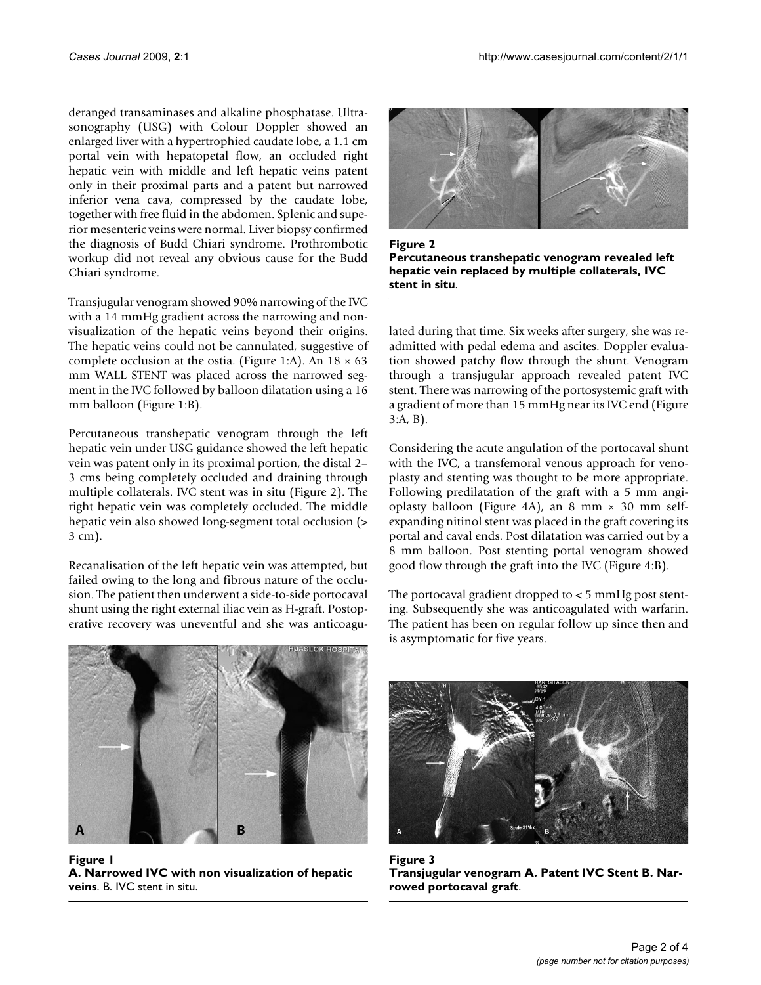deranged transaminases and alkaline phosphatase. Ultrasonography (USG) with Colour Doppler showed an enlarged liver with a hypertrophied caudate lobe, a 1.1 cm portal vein with hepatopetal flow, an occluded right hepatic vein with middle and left hepatic veins patent only in their proximal parts and a patent but narrowed inferior vena cava, compressed by the caudate lobe, together with free fluid in the abdomen. Splenic and superior mesenteric veins were normal. Liver biopsy confirmed the diagnosis of Budd Chiari syndrome. Prothrombotic workup did not reveal any obvious cause for the Budd Chiari syndrome.

Transjugular venogram showed 90% narrowing of the IVC with a 14 mmHg gradient across the narrowing and nonvisualization of the hepatic veins beyond their origins. The hepatic veins could not be cannulated, suggestive of complete occlusion at the ostia. (Figure 1:A). An  $18 \times 63$ mm WALL STENT was placed across the narrowed segment in the IVC followed by balloon dilatation using a 16 mm balloon (Figure 1:B).

Percutaneous transhepatic venogram through the left hepatic vein under USG guidance showed the left hepatic vein was patent only in its proximal portion, the distal 2– 3 cms being completely occluded and draining through multiple collaterals. IVC stent was in situ (Figure 2). The right hepatic vein was completely occluded. The middle hepatic vein also showed long-segment total occlusion (> 3 cm).

Recanalisation of the left hepatic vein was attempted, but failed owing to the long and fibrous nature of the occlusion. The patient then underwent a side-to-side portocaval shunt using the right external iliac vein as H-graft. Postoperative recovery was uneventful and she was anticoagu-



Figure 2 **Percutaneous transhepatic venogram revealed left hepatic vein replaced by multiple collaterals, IVC stent in situ**.

lated during that time. Six weeks after surgery, she was readmitted with pedal edema and ascites. Doppler evaluation showed patchy flow through the shunt. Venogram through a transjugular approach revealed patent IVC stent. There was narrowing of the portosystemic graft with a gradient of more than 15 mmHg near its IVC end (Figure 3:A, B).

Considering the acute angulation of the portocaval shunt with the IVC, a transfemoral venous approach for venoplasty and stenting was thought to be more appropriate. Following predilatation of the graft with a 5 mm angioplasty balloon (Figure 4A), an 8 mm × 30 mm selfexpanding nitinol stent was placed in the graft covering its portal and caval ends. Post dilatation was carried out by a 8 mm balloon. Post stenting portal venogram showed good flow through the graft into the IVC (Figure 4:B).

The portocaval gradient dropped to  $<$  5 mmHg post stenting. Subsequently she was anticoagulated with warfarin. The patient has been on regular follow up since then and is asymptomatic for five years.



Figure 1 **A. Narrowed IVC with non visualization of hepatic veins**. B. IVC stent in situ.



Figure 3 **Transjugular venogram A. Patent IVC Stent B. Narrowed portocaval graft**.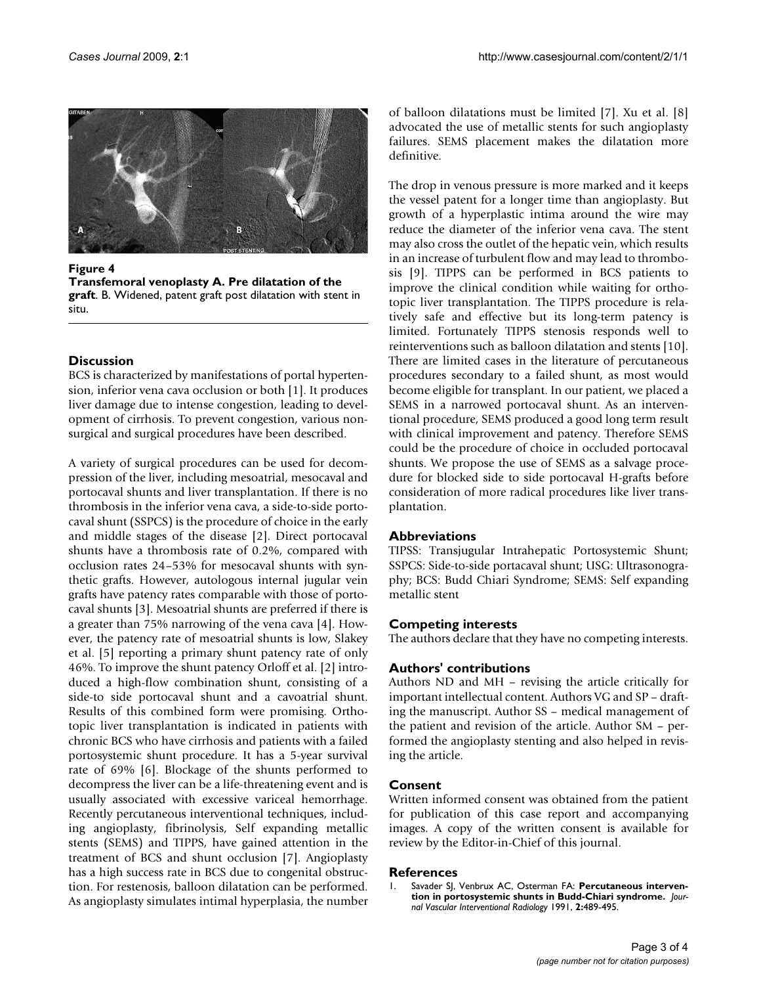

Figure 4 **Transfemoral venoplasty A. Pre dilatation of the graft**. B. Widened, patent graft post dilatation with stent in situ.

# **Discussion**

BCS is characterized by manifestations of portal hypertension, inferior vena cava occlusion or both [1]. It produces liver damage due to intense congestion, leading to development of cirrhosis. To prevent congestion, various nonsurgical and surgical procedures have been described.

A variety of surgical procedures can be used for decompression of the liver, including mesoatrial, mesocaval and portocaval shunts and liver transplantation. If there is no thrombosis in the inferior vena cava, a side-to-side portocaval shunt (SSPCS) is the procedure of choice in the early and middle stages of the disease [2]. Direct portocaval shunts have a thrombosis rate of 0.2%, compared with occlusion rates 24–53% for mesocaval shunts with synthetic grafts. However, autologous internal jugular vein grafts have patency rates comparable with those of portocaval shunts [3]. Mesoatrial shunts are preferred if there is a greater than 75% narrowing of the vena cava [4]. However, the patency rate of mesoatrial shunts is low, Slakey et al. [5] reporting a primary shunt patency rate of only 46%. To improve the shunt patency Orloff et al. [2] introduced a high-flow combination shunt, consisting of a side-to side portocaval shunt and a cavoatrial shunt. Results of this combined form were promising. Orthotopic liver transplantation is indicated in patients with chronic BCS who have cirrhosis and patients with a failed portosystemic shunt procedure. It has a 5-year survival rate of 69% [6]. Blockage of the shunts performed to decompress the liver can be a life-threatening event and is usually associated with excessive variceal hemorrhage. Recently percutaneous interventional techniques, including angioplasty, fibrinolysis, Self expanding metallic stents (SEMS) and TIPPS, have gained attention in the treatment of BCS and shunt occlusion [7]. Angioplasty has a high success rate in BCS due to congenital obstruction. For restenosis, balloon dilatation can be performed. As angioplasty simulates intimal hyperplasia, the number of balloon dilatations must be limited [7]. Xu et al. [8] advocated the use of metallic stents for such angioplasty failures. SEMS placement makes the dilatation more definitive.

The drop in venous pressure is more marked and it keeps the vessel patent for a longer time than angioplasty. But growth of a hyperplastic intima around the wire may reduce the diameter of the inferior vena cava. The stent may also cross the outlet of the hepatic vein, which results in an increase of turbulent flow and may lead to thrombosis [9]. TIPPS can be performed in BCS patients to improve the clinical condition while waiting for orthotopic liver transplantation. The TIPPS procedure is relatively safe and effective but its long-term patency is limited. Fortunately TIPPS stenosis responds well to reinterventions such as balloon dilatation and stents [10]. There are limited cases in the literature of percutaneous procedures secondary to a failed shunt, as most would become eligible for transplant. In our patient, we placed a SEMS in a narrowed portocaval shunt. As an interventional procedure, SEMS produced a good long term result with clinical improvement and patency. Therefore SEMS could be the procedure of choice in occluded portocaval shunts. We propose the use of SEMS as a salvage procedure for blocked side to side portocaval H-grafts before consideration of more radical procedures like liver transplantation.

### **Abbreviations**

TIPSS: Transjugular Intrahepatic Portosystemic Shunt; SSPCS: Side-to-side portacaval shunt; USG: Ultrasonography; BCS: Budd Chiari Syndrome; SEMS: Self expanding metallic stent

# **Competing interests**

The authors declare that they have no competing interests.

### **Authors' contributions**

Authors ND and MH – revising the article critically for important intellectual content. Authors VG and SP – drafting the manuscript. Author SS – medical management of the patient and revision of the article. Author SM – performed the angioplasty stenting and also helped in revising the article.

### **Consent**

Written informed consent was obtained from the patient for publication of this case report and accompanying images. A copy of the written consent is available for review by the Editor-in-Chief of this journal.

### **References**

1. Savader SJ, Venbrux AC, Osterman FA: **Percutaneous intervention in portosystemic shunts in Budd-Chiari syndrome.** *Journal Vascular Interventional Radiology* 1991, **2:**489-495.